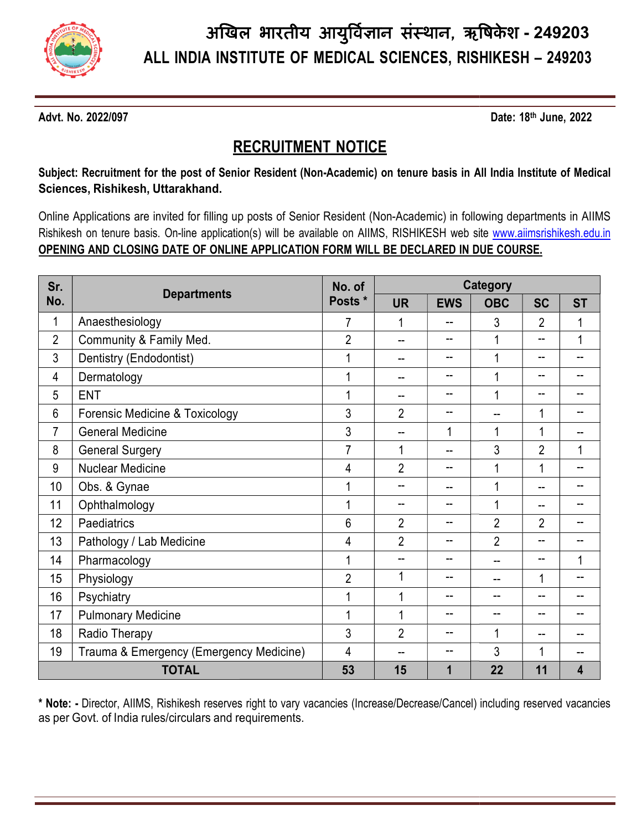

### RECRUITMENT RECRUITMENT NOTICE

Online Applications are invited for filling up posts of Senior Resident (Non-Academic) in following departments in AIIMS Online Applications are invited for filling up posts of Senior Resident (Non-Academic) in following departments in AIIMS<br>Rishikesh on tenure basis. On-line application(s) will be available on AIIMS, RISHIKESH web site <u>www</u> OPENING AND CLOSING DATE OF ONLINE APPLICATION FORM WILL BE DECLARED IN DUE COURSE.

| Advt. No. 2022/097 |                                                                                                                                                            |                |                | Date: 18th June, 2022 |                          |                |           |  |
|--------------------|------------------------------------------------------------------------------------------------------------------------------------------------------------|----------------|----------------|-----------------------|--------------------------|----------------|-----------|--|
|                    | <b>RECRUITMENT NOTICE</b>                                                                                                                                  |                |                |                       |                          |                |           |  |
|                    | Subject: Recruitment for the post of Senior Resident (Non-Academic) on tenure basis in All India Institute of Medical<br>Sciences, Rishikesh, Uttarakhand. |                |                |                       |                          |                |           |  |
|                    | Online Applications are invited for filling up posts of Senior Resident (Non-Academic) in following departments in AIIMS                                   |                |                |                       |                          |                |           |  |
|                    | Rishikesh on tenure basis. On-line application(s) will be available on AIIMS, RISHIKESH web site www.aiimsrishikesh.edu.in                                 |                |                |                       |                          |                |           |  |
|                    | OPENING AND CLOSING DATE OF ONLINE APPLICATION FORM WILL BE DECLARED IN DUE COURSE.                                                                        |                |                |                       |                          |                |           |  |
|                    |                                                                                                                                                            |                |                |                       |                          |                |           |  |
| Sr.                | <b>Departments</b>                                                                                                                                         | No. of         |                |                       | Category                 |                |           |  |
| No.                |                                                                                                                                                            | Posts *        | <b>UR</b>      | <b>EWS</b>            | <b>OBC</b>               | <b>SC</b>      | <b>ST</b> |  |
|                    | Anaesthesiology                                                                                                                                            | $\overline{7}$ | 1              | --                    | 3                        | 2              |           |  |
| $\overline{2}$     | Community & Family Med.                                                                                                                                    | 2              | --             | --                    |                          | −−             |           |  |
| 3                  | Dentistry (Endodontist)                                                                                                                                    |                | --             | --                    |                          | −−             | --        |  |
| 4                  | Dermatology                                                                                                                                                |                | --             | --                    |                          | --             | -−        |  |
| 5                  | <b>ENT</b>                                                                                                                                                 |                | --             | --                    |                          | --             | --        |  |
| 6                  | Forensic Medicine & Toxicology                                                                                                                             | 3              | $\overline{2}$ | -−                    | $\overline{\phantom{a}}$ | 1              | -−        |  |
|                    | <b>General Medicine</b>                                                                                                                                    | 3              | --             |                       |                          | 1              | -−        |  |
| 8                  | <b>General Surgery</b>                                                                                                                                     | $\overline{7}$ | 1              | -−                    | 3                        | $\overline{2}$ |           |  |
| 9                  | <b>Nuclear Medicine</b>                                                                                                                                    | 4              | $\overline{2}$ | --                    |                          | $\mathbf{1}$   | -−        |  |
| 10                 | Obs. & Gynae                                                                                                                                               |                | --             | --                    | 1                        | --             | --        |  |
| 11                 | Ophthalmology                                                                                                                                              |                | --             | --                    |                          | --             | −−        |  |
| 12                 | Paediatrics                                                                                                                                                | 6              | $\overline{2}$ |                       | $\overline{\mathbf{c}}$  | 2              | −−        |  |
| 13                 | Pathology / Lab Medicine                                                                                                                                   | 4              | $\overline{2}$ | --                    | $\overline{2}$           | −−             | --        |  |
| 14                 | Pharmacology                                                                                                                                               |                | −−             | −−                    | --                       | −−             |           |  |
| 15                 | Physiology                                                                                                                                                 | $\overline{2}$ |                | --                    | --                       | 1              | --        |  |
| 16                 | Psychiatry                                                                                                                                                 |                |                | --                    | --                       | --             | --        |  |
| 17                 | <b>Pulmonary Medicine</b>                                                                                                                                  |                |                | -−                    | --                       | -−             | --        |  |
| 18                 | Radio Therapy                                                                                                                                              | 3              | $\overline{2}$ | --                    |                          | --             | --        |  |
| 19                 | Trauma & Emergency (Emergency Medicine)                                                                                                                    | 4              |                |                       | 3                        | 1              | --        |  |
|                    | <b>TOTAL</b>                                                                                                                                               | 53             | 15             | 1                     | 22                       | 11             | 4         |  |

\* **Note:** - Director, AIIMS, Rishikesh reserves right to vary vacancies (Increase/Decrease/Cancel) including reserved vacancies as per Govt. of India rules/circulars and requirements.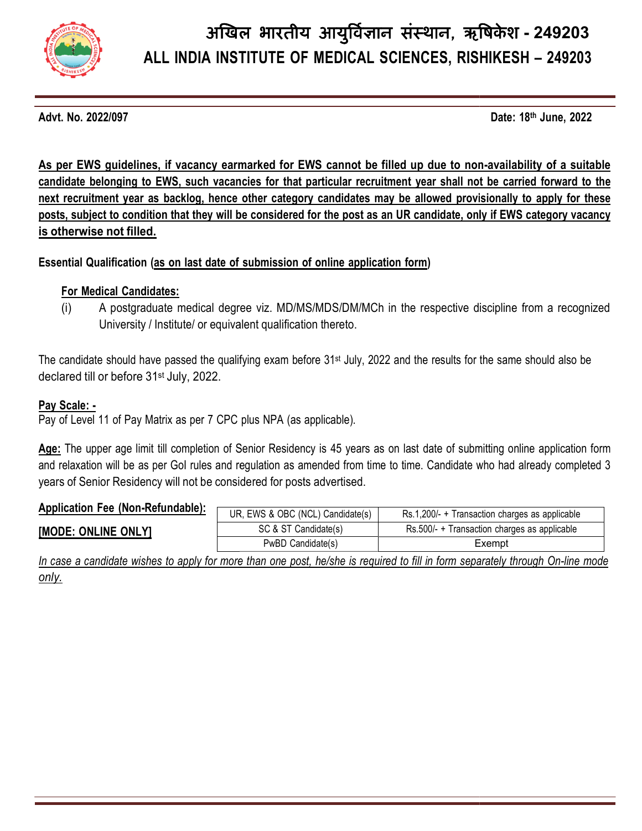

Advt. No. 2022/097

Date: 18th June, 2022

As per EWS guidelines, if vacancy earmarked for EWS cannot be filled up due to non-availability of a suitable candidate belonging to EWS, such vacancies for that particular recruitment year shall not be carried forward to the next recruitment year as backlog, hence other category candidates may be allowed provisionally to apply for these next recruitment year as backlog, hence other category candidates may be allowed provisionally to apply for these<br>posts, subject to condition that they will be considered for the post as an UR candidate, only if EWS catego is otherwise not filled.

#### Essential Qualification (<u>as on last date of submission of online application form</u>)

#### For Medical Candidates:

(i) A postgraduate medical degree viz. MD/MS/MDS/DM/MCh in the respective discipline from a recognized University / Institute/ or equivalent qualification thereto.

The candidate should have passed the qualifying exam before 31st July, 2022 and the results for the same should also be declared till or before 31st July, 2022.

#### Pav Scale: -

Pay of Level 11 of Pay Matrix as per 7 CPC plus NPA (as applicable).

<u>Age:</u> The upper age limit till completion of Senior Residency is 45 years as on last date of submitting online application form and relaxation will be as per GoI rules and regulation as amended from time to time. Candidate who had already completed 3 years of Senior Residency will not be considered for posts advertised.

#### Application Fee (Non-Refundable)

| <b>Application TVV (NON INSTRITUANTS).</b> | UR.<br><b>EINIC 9</b><br>' OBC (NC∟<br>$\cdots$ (NICL)<br>Candidate(s)<br>۷۷ ت ت | Rs.1,200/-<br>າ charges as applicable<br>Transaction |  |  |
|--------------------------------------------|----------------------------------------------------------------------------------|------------------------------------------------------|--|--|
| <b>IMODE.</b><br>. ONLY!<br><b>ONLINE</b>  | ن & ST ^<br>Candidate(s)                                                         | Rs.500/-<br>Transaction charges as applicable        |  |  |
|                                            | PwBD<br>ੋandidate(s⊤<br>valiui                                                   | ∠xempt                                               |  |  |

In case a candidate wishes to apply for more than one post, he/she is required to fill in form separately through On-line mode only.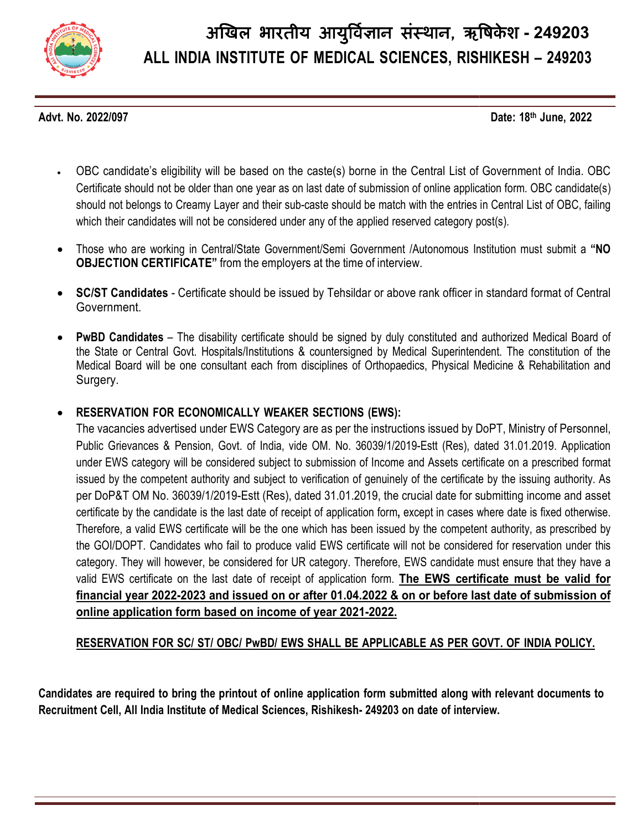

Advt. No. 2022/097

Date: 18th June, 2022

- OBC candidate's eligibility will be based on the caste(s) borne in the Central List of Government of India. OBC Certificate should not be older than one year as on last date of submission of online application form. OBC candidate(s) should not belongs to Creamy Layer and their sub-caste should be match with the entries in Central List which their candidates will not be considered under any of the applied reserved category post(s). OBC candidate's eligibility will be based on the caste(s) borne in the Central List of Government of India. OBC<br>Certificate should not be older than one year as on last date of submission of online application form. OBC ca
- Those who are working in Central/State Government/Semi Government /Autonomous Institution must submit a "NO  ${\sf OBJECTION~CERTIFICATE}$ " from the employers at the time of interview.
- SC/ST Candidates Certificate should be issued by Tehsildar or above rank officer in standard format of Central Government. ● SC/ST Candidates - Certificate should be issued by Tehsildar or above rank officer in standard format of Central<br>Government.<br>● PwBD Candidates – The disability certificate should be signed by duly constituted and auth
- the State or Central Govt. Hospitals/Institutions & countersigned by Medical Superintendent. The constitution of the Medical Board will be one consultant each from disciplines of Orthopaedics, Physical Medicine & Rehabilitation and Surgery.

#### $\bullet$  RESERVATION FOR ECONOMICALLY WEAKER SECTIONS (EWS):

The vacancies advertised under EWS Category are as per the instructions issued by DoPT, Ministry of Personnel, Public Grievances & Pension, Govt. of India, vide OM. No. 36039/1/2019-Estt (Res), dated 31.01.2019. Application under EWS category will be considered subject to submission of Income and Assets certificate on a prescribed format issued by the competent authority and subject to verification of genuinely of the certificate by the issuing authority. As per DoP&T OM No. 36039/1/2019-Estt (Res), dated 31.01.2019, the crucial date for submitting income and asset certificate by the candidate is the last date of receipt of application form, except in cases where date is fixed otherwise. Therefore, a valid EWS certificate will be the one which has been issued by the competent authority, as prescribed by the GOI/DOPT. Candidates who fail to produce valid EWS certificate will not be considered for reservation under this category. They will however, be considered for UR category. Therefore, EWS candidate must ensure that they have a valid EWS certificate on the last date of receipt of application form. The EWS certificate must be valid for <u>financial year 2022-2023 and issued on or after 01.04.2022 & on or before last date of submission of </u> online application form based on income of year 2021-2022. ry will be considered subject to submission of Income and Assets certificate on a prescribed format<br>betent authority and subject to verification of genuinely of the certificate by the issuing authority. As<br>b. 36039/1/2019-& Pension, Govt. of India, vide OM. No. 36039/1/2019-Estt (Res), dated 31.01.2019. Application<br>ry will be considered subject to submission of Income and Assets certificate on a prescribed format<br>betent authority and subjec

RESERVATION FOR SC/ ST/ OBC/ PwBD/ EWS SHALL BE APPLICABLE AS PER GOVT. OF INDIA POLICY.

Candidates are required to bring the printout of online application form submitted along with relevant documents to Recruitment Cell, All India Institute of Medical Sciences, Rishikesh- 249203 on date of interview.